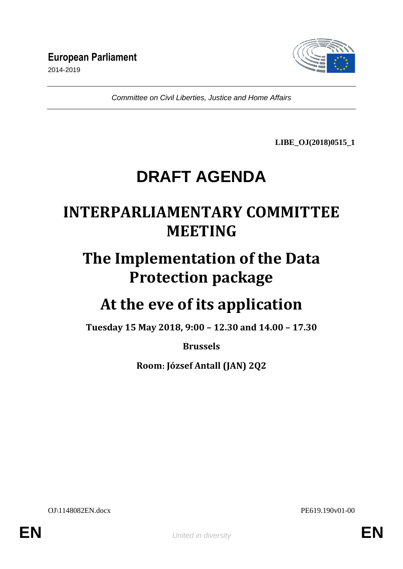

*Committee on Civil Liberties, Justice and Home Affairs*

**LIBE\_OJ(2018)0515\_1**

# **DRAFT AGENDA**

## **INTERPARLIAMENTARY COMMITTEE MEETING**

# **The Implementation of the Data Protection package**

# **At the eve of its application**

**Tuesday 15 May 2018, 9:00 – 12.30 and 14.00 – 17.30**

**Brussels**

**Room: József Antall (JAN) 2Q2**

OJ\1148082EN.docx PE619.190v01-00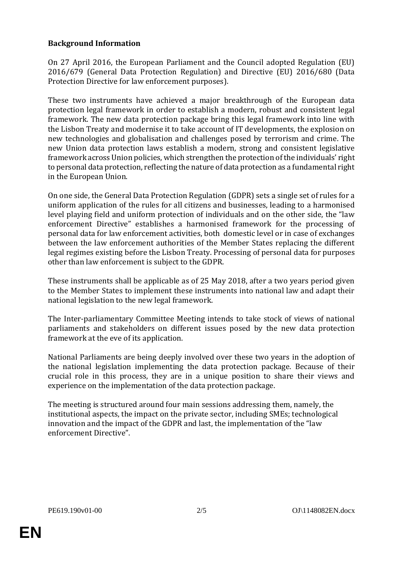### **Background Information**

On 27 April 2016, the European Parliament and the Council adopted Regulation (EU) 2016/679 (General Data Protection Regulation) and Directive (EU) 2016/680 (Data Protection Directive for law enforcement purposes).

These two instruments have achieved a major breakthrough of the European data protection legal framework in order to establish a modern, robust and consistent legal framework. The new data protection package bring this legal framework into line with the Lisbon Treaty and modernise it to take account of IT developments, the explosion on new technologies and globalisation and challenges posed by terrorism and crime. The new Union data protection laws establish a modern, strong and consistent legislative framework across Union policies, which strengthen the protection of the individuals' right to personal data protection, reflecting the nature of data protection as a fundamental right in the European Union.

On one side, the General Data Protection Regulation (GDPR) sets a single set of rules for a uniform application of the rules for all citizens and businesses, leading to a harmonised level playing field and uniform protection of individuals and on the other side, the "law enforcement Directive" establishes a harmonised framework for the processing of personal data for law enforcement activities, both domestic level or in case of exchanges between the law enforcement authorities of the Member States replacing the different legal regimes existing before the Lisbon Treaty. Processing of personal data for purposes other than law enforcement is subject to the GDPR.

These instruments shall be applicable as of 25 May 2018, after a two years period given to the Member States to implement these instruments into national law and adapt their national legislation to the new legal framework.

The Inter-parliamentary Committee Meeting intends to take stock of views of national parliaments and stakeholders on different issues posed by the new data protection framework at the eve of its application.

National Parliaments are being deeply involved over these two years in the adoption of the national legislation implementing the data protection package. Because of their crucial role in this process, they are in a unique position to share their views and experience on the implementation of the data protection package.

The meeting is structured around four main sessions addressing them, namely, the institutional aspects, the impact on the private sector, including SMEs; technological innovation and the impact of the GDPR and last, the implementation of the "law enforcement Directive".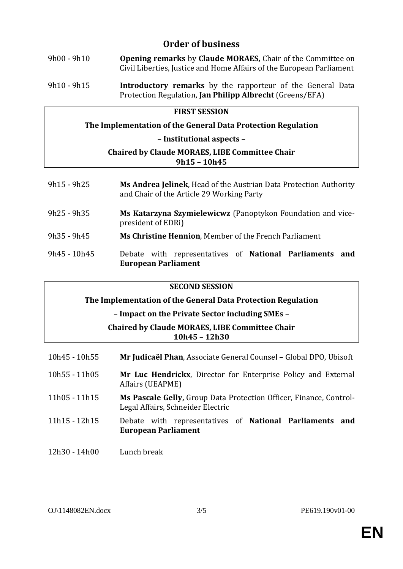## **Order of business**

- 9h00 9h10 **Opening remarks** by **Claude MORAES,** Chair of the Committee on Civil Liberties, Justice and Home Affairs of the European Parliament 9h10 - 9h15 **Introductory remarks** by the rapporteur of the General Data
- Protection Regulation, **Jan Philipp Albrecht** (Greens/EFA)

### **FIRST SESSION**

**The Implementation of the General Data Protection Regulation**

**– Institutional aspects –**

#### **Chaired by Claude MORAES, LIBE Committee Chair 9h15 – 10h45**

| $9h15 - 9h25$  | Ms Andrea Jelinek, Head of the Austrian Data Protection Authority<br>and Chair of the Article 29 Working Party |  |  |
|----------------|----------------------------------------------------------------------------------------------------------------|--|--|
| $9h25 - 9h35$  | Ms Katarzyna Szymielewicwz (Panoptykon Foundation and vice-<br>president of EDRi)                              |  |  |
| $9h35 - 9h45$  | Ms Christine Hennion, Member of the French Parliament                                                          |  |  |
| $9h45 - 10h45$ | Debate with representatives of National Parliaments<br>and<br><b>European Parliament</b>                       |  |  |

#### **SECOND SESSION**

**The Implementation of the General Data Protection Regulation** 

**– Impact on the Private Sector including SMEs –**

**Chaired by Claude MORAES, LIBE Committee Chair 10h45 – 12h30**

| $10h45 - 10h55$ | Mr Judicaël Phan, Associate General Counsel - Global DPO, Ubisoft                                       |
|-----------------|---------------------------------------------------------------------------------------------------------|
| $10h55 - 11h05$ | Mr Luc Hendrickx, Director for Enterprise Policy and External<br>Affairs (UEAPME)                       |
| 11h05 - 11h15   | Ms Pascale Gelly, Group Data Protection Officer, Finance, Control-<br>Legal Affairs, Schneider Electric |
| 11h15 - 12h15   | Debate with representatives of National Parliaments and<br><b>European Parliament</b>                   |
| 12h30 - 14h00   | Lunch break                                                                                             |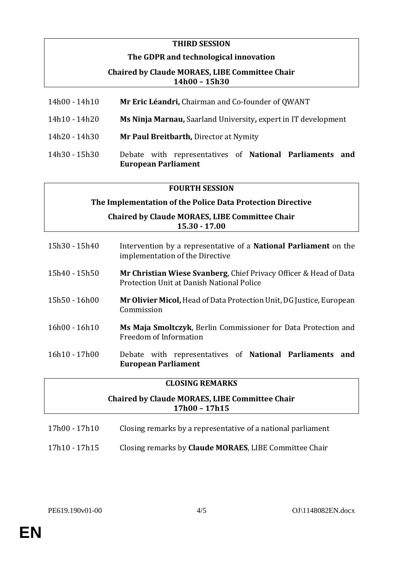#### **THIRD SESSION**

#### **The GDPR and technological innovation**

#### **Chaired by Claude MORAES, LIBE Committee Chair 14h00 – 15h30**

| Mr Eric Léandri, Chairman and Co-founder of QWANT<br>14h00 - 14h10 |  |
|--------------------------------------------------------------------|--|
|--------------------------------------------------------------------|--|

- 14h10 14h20 **Ms Ninja Marnau,** Saarland University**,** expert in IT development
- 14h20 14h30 **Mr Paul Breitbarth,** Director at Nymity
- 14h30 15h30 Debate with representatives of **National Parliaments and European Parliament**

#### **FOURTH SESSION**

#### **The Implementation of the Police Data Protection Directive**

**Chaired by Claude MORAES, LIBE Committee Chair 15.30 - 17.00**

| 15h30 - 15h40   | Intervention by a representative of a <b>National Parliament</b> on the<br>implementation of the Directive     |
|-----------------|----------------------------------------------------------------------------------------------------------------|
| 15h40 - 15h50   | Mr Christian Wiese Svanberg, Chief Privacy Officer & Head of Data<br>Protection Unit at Danish National Police |
| 15h50 - 16h00   | Mr Olivier Micol, Head of Data Protection Unit, DG Justice, European<br>Commission                             |
| $16h00 - 16h10$ | Ms Maja Smoltczyk, Berlin Commissioner for Data Protection and<br>Freedom of Information                       |
| 16h10 - 17h00   | Debate with representatives of National Parliaments and<br><b>European Parliament</b>                          |

#### **CLOSING REMARKS**

### **Chaired by Claude MORAES, LIBE Committee Chair 17h00 – 17h15**

- 17h00 17h10 Closing remarks by a representative of a national parliament
- 17h10 17h15 Closing remarks by **Claude MORAES**, LIBE Committee Chair